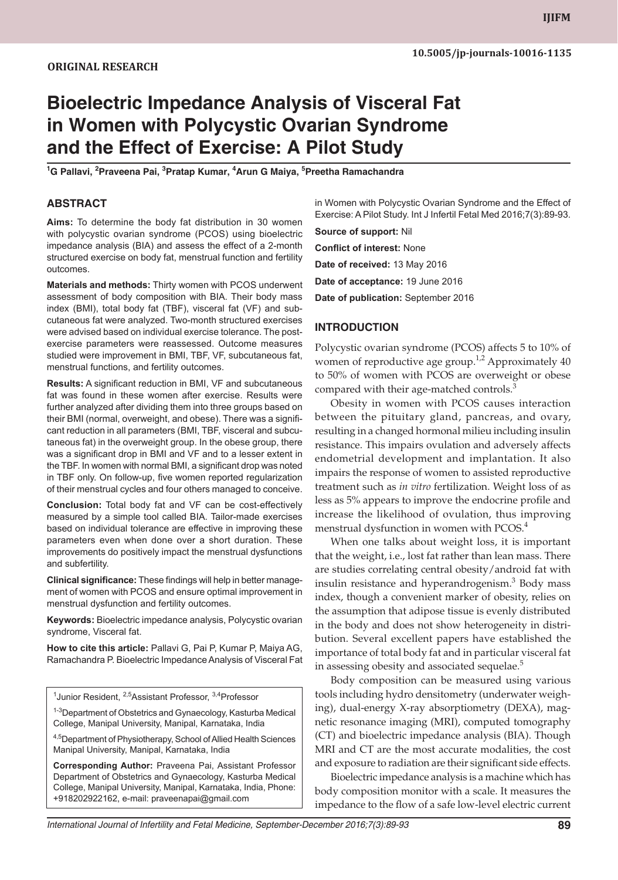# **Bioelectric Impedance Analysis of Visceral Fat in Women with Polycystic Ovarian Syndrome and the Effect of Exercise: A Pilot Study**

**<sup>1</sup>G Pallavi, <sup>2</sup>Praveena Pai, <sup>3</sup>Pratap Kumar, <sup>4</sup>Arun G Maiya, <sup>5</sup>Preetha Ramachandra**

#### **ABSTRACT**

**Aims:** To determine the body fat distribution in 30 women with polycystic ovarian syndrome (PCOS) using bioelectric impedance analysis (BIA) and assess the effect of a 2-month structured exercise on body fat, menstrual function and fertility outcomes.

**Materials and methods:** Thirty women with PCOS underwent assessment of body composition with BIA. Their body mass index (BMI), total body fat (TBF), visceral fat (VF) and subcutaneous fat were analyzed. Two-month structured exercises were advised based on individual exercise tolerance. The postexercise parameters were reassessed. Outcome measures studied were improvement in BMI, TBF, VF, subcutaneous fat, menstrual functions, and fertility outcomes.

**Results:** A significant reduction in BMI, VF and subcutaneous fat was found in these women after exercise. Results were further analyzed after dividing them into three groups based on their BMI (normal, overweight, and obese). There was a significant reduction in all parameters (BMI, TBF, visceral and subcutaneous fat) in the overweight group. In the obese group, there was a significant drop in BMI and VF and to a lesser extent in the TBF. In women with normal BMI, a significant drop was noted in TBF only. On follow-up, five women reported regularization of their menstrual cycles and four others managed to conceive.

**Conclusion:** Total body fat and VF can be cost-effectively measured by a simple tool called BIA. Tailor-made exercises based on individual tolerance are effective in improving these parameters even when done over a short duration. These improvements do positively impact the menstrual dysfunctions and subfertility.

**Clinical significance:** These findings will help in better management of women with PCOS and ensure optimal improvement in menstrual dysfunction and fertility outcomes.

**Keywords:** Bioelectric impedance analysis, Polycystic ovarian syndrome, Visceral fat.

**How to cite this article:** Pallavi G, Pai P, Kumar P, Maiya AG, Ramachandra P. Bioelectric Impedance Analysis of Visceral Fat

<sup>1</sup> Junior Resident, <sup>2,5</sup> Assistant Professor, <sup>3,4</sup> Professor

<sup>1-3</sup>Department of Obstetrics and Gynaecology, Kasturba Medical College, Manipal University, Manipal, Karnataka, India

4,5 Department of Physiotherapy, School of Allied Health Sciences Manipal University, Manipal, Karnataka, India

**Corresponding Author:** Praveena Pai, Assistant Professor Department of Obstetrics and Gynaecology, Kasturba Medical College, Manipal University, Manipal, Karnataka, India, Phone: +918202922162, e-mail: praveenapai@gmail.com

in Women with Polycystic Ovarian Syndrome and the Effect of Exercise: A Pilot Study. Int J Infertil Fetal Med 2016;7(3):89-93.

**Source of support:** Nil **Conflict of interest:** None **Date of received:** 13 May 2016 **Date of acceptance:** 19 June 2016 **Date of publication:** September 2016

#### **INTRODUCTION**

Polycystic ovarian syndrome (PCOS) affects 5 to 10% of women of reproductive age group.<sup>1,2</sup> Approximately 40 to 50% of women with PCOS are overweight or obese compared with their age-matched controls.<sup>3</sup>

Obesity in women with PCOS causes interaction between the pituitary gland, pancreas, and ovary, resulting in a changed hormonal milieu including insulin resistance. This impairs ovulation and adversely affects endometrial development and implantation. It also impairs the response of women to assisted reproductive treatment such as *in vitro* fertilization. Weight loss of as less as 5% appears to improve the endocrine profile and increase the likelihood of ovulation, thus improving menstrual dysfunction in women with PCOS.<sup>4</sup>

When one talks about weight loss, it is important that the weight, i.e., lost fat rather than lean mass. There are studies correlating central obesity/android fat with insulin resistance and hyperandrogenism.<sup>3</sup> Body mass index, though a convenient marker of obesity, relies on the assumption that adipose tissue is evenly distributed in the body and does not show heterogeneity in distribution. Several excellent papers have established the importance of total body fat and in particular visceral fat in assessing obesity and associated sequelae.<sup>5</sup>

Body composition can be measured using various tools including hydro densitometry (underwater weighing), dual-energy X-ray absorptiometry (DEXA), magnetic resonance imaging (MRI), computed tomography (CT) and bioelectric impedance analysis (BIA). Though MRI and CT are the most accurate modalities, the cost and exposure to radiation are their significant side effects.

Bioelectric impedance analysis is a machine which has body composition monitor with a scale. It measures the impedance to the flow of a safe low-level electric current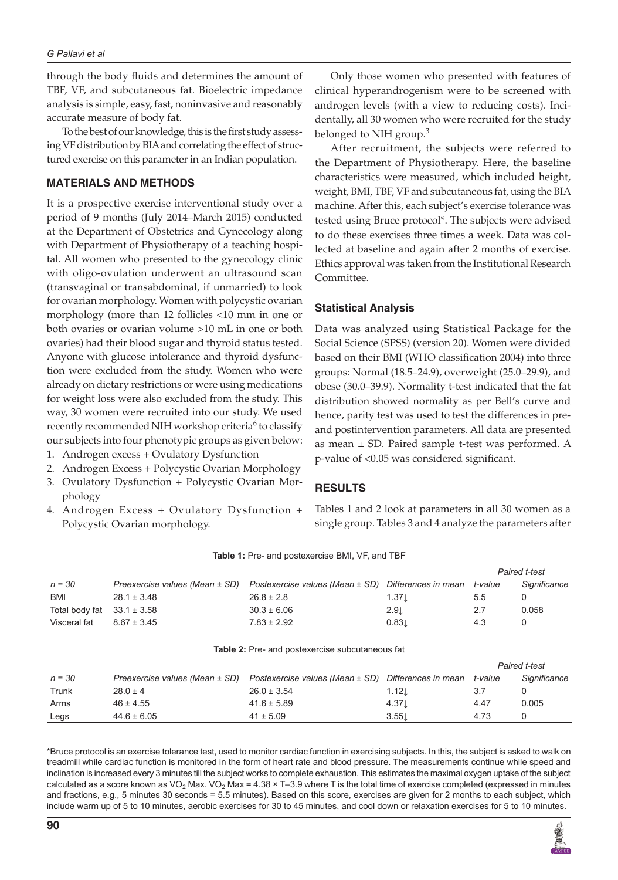through the body fluids and determines the amount of TBF, VF, and subcutaneous fat. Bioelectric impedance analysis is simple, easy, fast, noninvasive and reasonably accurate measure of body fat.

To the best of our knowledge, this is the first study assessing VF distribution by BIA and correlating the effect of structured exercise on this parameter in an Indian population.

## **MATERIALS AND METHODS**

It is a prospective exercise interventional study over a period of 9 months (July 2014–March 2015) conducted at the Department of Obstetrics and Gynecology along with Department of Physiotherapy of a teaching hospital. All women who presented to the gynecology clinic with oligo-ovulation underwent an ultrasound scan (transvaginal or transabdominal, if unmarried) to look for ovarian morphology. Women with polycystic ovarian morphology (more than 12 follicles <10 mm in one or both ovaries or ovarian volume >10 mL in one or both ovaries) had their blood sugar and thyroid status tested. Anyone with glucose intolerance and thyroid dysfunction were excluded from the study. Women who were already on dietary restrictions or were using medications for weight loss were also excluded from the study. This way, 30 women were recruited into our study. We used recently recommended NIH workshop criteria<sup>6</sup> to classify our subjects into four phenotypic groups as given below:

- 1. Androgen excess + Ovulatory Dysfunction
- 2. Androgen Excess + Polycystic Ovarian Morphology
- 3. Ovulatory Dysfunction + Polycystic Ovarian Morphology
- 4. Androgen Excess + Ovulatory Dysfunction + Polycystic Ovarian morphology.

Only those women who presented with features of clinical hyperandrogenism were to be screened with androgen levels (with a view to reducing costs). Incidentally, all 30 women who were recruited for the study belonged to NIH group. $3$ 

After recruitment, the subjects were referred to the Department of Physiotherapy. Here, the baseline characteristics were measured, which included height, weight, BMI, TBF, VF and subcutaneous fat, using the BIA machine. After this, each subject's exercise tolerance was tested using Bruce protocol\*. The subjects were advised to do these exercises three times a week. Data was collected at baseline and again after 2 months of exercise. Ethics approval was taken from the Institutional Research Committee.

## **Statistical Analysis**

Data was analyzed using Statistical Package for the Social Science (SPSS) (version 20). Women were divided based on their BMI (WHO classification 2004) into three groups: Normal (18.5–24.9), overweight (25.0–29.9), and obese (30.0–39.9). Normality t-test indicated that the fat distribution showed normality as per Bell's curve and hence, parity test was used to test the differences in preand postintervention parameters. All data are presented as mean  $\pm$  SD. Paired sample t-test was performed. A p-value of <0.05 was considered significant.

## **RESULTS**

Tables 1 and 2 look at parameters in all 30 women as a single group. Tables 3 and 4 analyze the parameters after

|                |                                |                                                        |                     | Paired t-test |              |  |
|----------------|--------------------------------|--------------------------------------------------------|---------------------|---------------|--------------|--|
| $n = 30$       | Preexercise values (Mean ± SD) | Postexercise values (Mean ± SD)                        | Differences in mean | t-value       | Significance |  |
| <b>BMI</b>     | $28.1 \pm 3.48$                | $26.8 \pm 2.8$                                         | $1.37\perp$         | 5.5           | 0            |  |
| Total body fat | $33.1 \pm 3.58$                | $30.3 \pm 6.06$                                        | 2.9 <sub>1</sub>    | 2.7           | 0.058        |  |
| Visceral fat   | $8.67 \pm 3.45$                | $7.83 \pm 2.92$                                        | 0.83                | 4.3           | 0            |  |
|                |                                | <b>Table 2:</b> Pre- and postexercise subcutaneous fat |                     | Paired t-test |              |  |
|                |                                |                                                        |                     |               |              |  |
| $n = 30$       | Preexercise values (Mean ± SD) | Postexercise values (Mean ± SD)                        | Differences in mean | t-value       | Significance |  |
| Trunk          | $28.0 \pm 4$                   | $26.0 \pm 3.54$                                        | $1.12\perp$         | 3.7           | 0            |  |
| Arms           | $46 \pm 4.55$                  | $41.6 \pm 5.89$                                        | 4.37 <sub>1</sub>   | 4.47          | 0.005        |  |
| Legs           | $44.6 \pm 6.05$                | $41 \pm 5.09$                                          | 3.55                | 4.73          | 0            |  |

**Table 1:** Pre- and postexercise BMI, VF, and TBF

\*Bruce protocol is an exercise tolerance test, used to monitor cardiac function in exercising subjects. In this, the subject is asked to walk on treadmill while cardiac function is monitored in the form of heart rate and blood pressure. The measurements continue while speed and inclination is increased every 3 minutes till the subject works to complete exhaustion. This estimates the maximal oxygen uptake of the subject calculated as a score known as VO<sub>2</sub> Max. VO<sub>2</sub> Max = 4.38 × T–3.9 where T is the total time of exercise completed (expressed in minutes and fractions, e.g., 5 minutes 30 seconds = 5.5 minutes). Based on this score, exercises are given for 2 months to each subject, which include warm up of 5 to 10 minutes, aerobic exercises for 30 to 45 minutes, and cool down or relaxation exercises for 5 to 10 minutes.

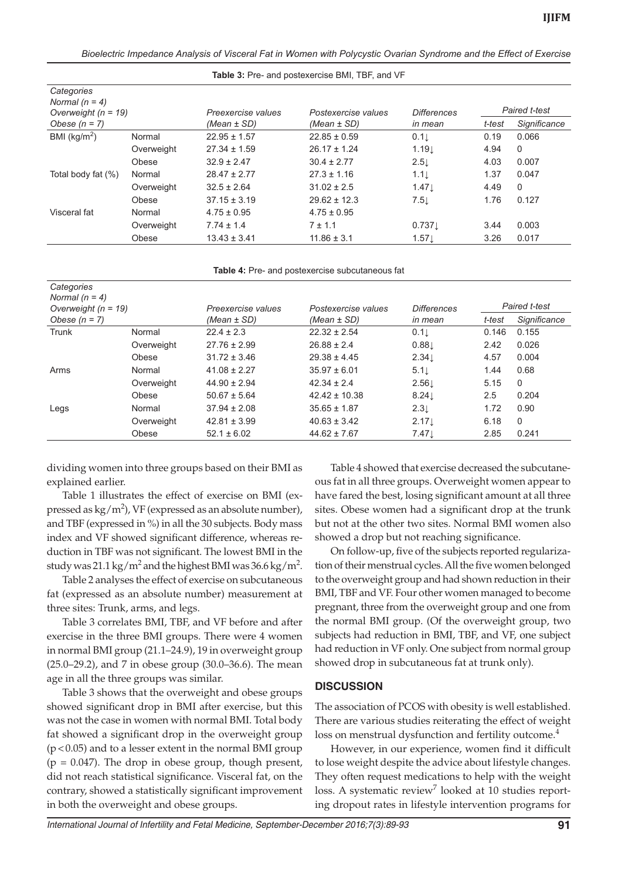*Bioelectric Impedance Analysis of Visceral Fat in Women with Polycystic Ovarian Syndrome and the Effect of Exercise*

| <b>Table 3:</b> Pre- and postexencise Bivit, TBF, and VF |            |                    |                     |                    |        |               |  |
|----------------------------------------------------------|------------|--------------------|---------------------|--------------------|--------|---------------|--|
| Categories<br>Normal $(n = 4)$                           |            | Preexercise values | Postexercise values | <b>Differences</b> |        | Paired t-test |  |
| Overweight $(n = 19)$<br>Obese $(n = 7)$                 |            | (Mean ± SD)        | (Mean ± SD)         | in mean            | t-test | Significance  |  |
| BMI ( $kg/m2$ )                                          | Normal     | $22.95 \pm 1.57$   | $22.85 \pm 0.59$    | 0.1                | 0.19   | 0.066         |  |
|                                                          | Overweight | $27.34 \pm 1.59$   | $26.17 \pm 1.24$    | 1.19               | 4.94   | $\mathbf{0}$  |  |
|                                                          | Obese      | $32.9 \pm 2.47$    | $30.4 \pm 2.77$     | $2.5\downarrow$    | 4.03   | 0.007         |  |
| Total body fat (%)                                       | Normal     | $28.47 \pm 2.77$   | $27.3 \pm 1.16$     | 1.1 <sub>l</sub>   | 1.37   | 0.047         |  |
|                                                          | Overweight | $32.5 \pm 2.64$    | $31.02 \pm 2.5$     | 1.47               | 4.49   | $\Omega$      |  |
|                                                          | Obese      | $37.15 \pm 3.19$   | $29.62 \pm 12.3$    | 7.5                | 1.76   | 0.127         |  |
| Visceral fat                                             | Normal     | $4.75 \pm 0.95$    | $4.75 \pm 0.95$     |                    |        |               |  |
|                                                          | Overweight | $7.74 \pm 1.4$     | $7 \pm 1.1$         | 0.737              | 3.44   | 0.003         |  |
|                                                          | Obese      | $13.43 \pm 3.41$   | $11.86 \pm 3.1$     | $1.57 \downarrow$  | 3.26   | 0.017         |  |
|                                                          |            |                    |                     |                    |        |               |  |

**Table 3:** Pre- and postexercise BMI, TBF, and VF

|  |  |  | Table 4: Pre- and postexercise subcutaneous fat |  |
|--|--|--|-------------------------------------------------|--|
|--|--|--|-------------------------------------------------|--|

| Categories<br>Normal $(n = 4)$<br>Overweight $(n = 19)$<br>Obese $(n = 7)$ |            | Preexercise values<br>(Mean $\pm$ SD) | Postexercise values<br>(Mean $\pm$ SD) | <b>Differences</b><br>in mean | Paired t-test |              |
|----------------------------------------------------------------------------|------------|---------------------------------------|----------------------------------------|-------------------------------|---------------|--------------|
|                                                                            |            |                                       |                                        |                               | t-test        | Significance |
| Trunk                                                                      | Normal     | $22.4 \pm 2.3$                        | $22.32 \pm 2.54$                       | 0.1                           | 0.146         | 0.155        |
|                                                                            | Overweight | $27.76 \pm 2.99$                      | $26.88 \pm 2.4$                        | 0.88                          | 2.42          | 0.026        |
|                                                                            | Obese      | $31.72 \pm 3.46$                      | $29.38 \pm 4.45$                       | 2.34                          | 4.57          | 0.004        |
| Arms                                                                       | Normal     | $41.08 \pm 2.27$                      | $35.97 \pm 6.01$                       | 5.1                           | 1.44          | 0.68         |
|                                                                            | Overweight | $44.90 \pm 2.94$                      | $42.34 \pm 2.4$                        | $2.56\perp$                   | 5.15          | $\Omega$     |
|                                                                            | Obese      | $50.67 \pm 5.64$                      | $42.42 \pm 10.38$                      | 8.24                          | 2.5           | 0.204        |
| Legs                                                                       | Normal     | $37.94 \pm 2.08$                      | $35.65 \pm 1.87$                       | $2.3\downarrow$               | 1.72          | 0.90         |
|                                                                            | Overweight | $42.81 \pm 3.99$                      | $40.63 \pm 3.42$                       | 2.17 <sub>1</sub>             | 6.18          | $\Omega$     |
|                                                                            | Obese      | $52.1 \pm 6.02$                       | $44.62 \pm 7.67$                       | $7.47\downarrow$              | 2.85          | 0.241        |

dividing women into three groups based on their BMI as explained earlier.

Table 1 illustrates the effect of exercise on BMI (expressed as  $\text{kg/m}^2$ ), VF (expressed as an absolute number), and TBF (expressed in %) in all the 30 subjects. Body mass index and VF showed significant difference, whereas reduction in TBF was not significant. The lowest BMI in the study was 21.1 kg/m<sup>2</sup> and the highest BMI was 36.6 kg/m<sup>2</sup>.

Table 2 analyses the effect of exercise on subcutaneous fat (expressed as an absolute number) measurement at three sites: Trunk, arms, and legs.

Table 3 correlates BMI, TBF, and VF before and after exercise in the three BMI groups. There were 4 women in normal BMI group (21.1–24.9), 19 in overweight group (25.0–29.2), and 7 in obese group (30.0–36.6). The mean age in all the three groups was similar.

Table 3 shows that the overweight and obese groups showed significant drop in BMI after exercise, but this was not the case in women with normal BMI. Total body fat showed a significant drop in the overweight group (p < 0.05) and to a lesser extent in the normal BMI group  $(p = 0.047)$ . The drop in obese group, though present, did not reach statistical significance. Visceral fat, on the contrary, showed a statistically significant improvement in both the overweight and obese groups.

Table 4 showed that exercise decreased the subcutaneous fat in all three groups. Overweight women appear to have fared the best, losing significant amount at all three sites. Obese women had a significant drop at the trunk but not at the other two sites. Normal BMI women also showed a drop but not reaching significance.

On follow-up, five of the subjects reported regularization of their menstrual cycles. All the five women belonged to the overweight group and had shown reduction in their BMI, TBF and VF. Four other women managed to become pregnant, three from the overweight group and one from the normal BMI group. (Of the overweight group, two subjects had reduction in BMI, TBF, and VF, one subject had reduction in VF only. One subject from normal group showed drop in subcutaneous fat at trunk only).

#### **DISCUSSION**

The association of PCOS with obesity is well established. There are various studies reiterating the effect of weight loss on menstrual dysfunction and fertility outcome.<sup>4</sup>

However, in our experience, women find it difficult to lose weight despite the advice about lifestyle changes. They often request medications to help with the weight loss. A systematic review<sup>7</sup> looked at 10 studies reporting dropout rates in lifestyle intervention programs for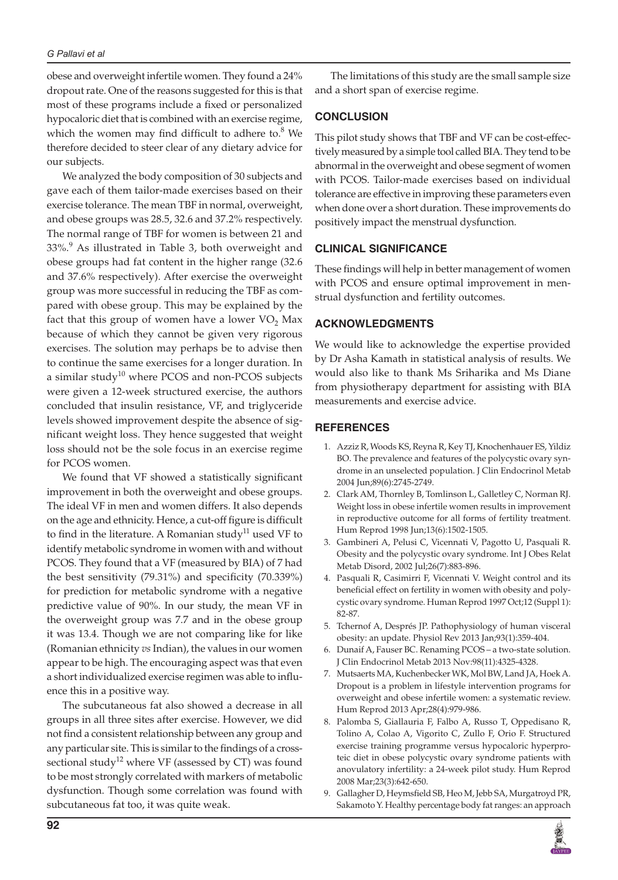#### *G Pallavi et al*

obese and overweight infertile women. They found a 24% dropout rate. One of the reasons suggested for this is that most of these programs include a fixed or personalized hypocaloric diet that is combined with an exercise regime, which the women may find difficult to adhere to. $8$  We therefore decided to steer clear of any dietary advice for our subjects.

We analyzed the body composition of 30 subjects and gave each of them tailor-made exercises based on their exercise tolerance. The mean TBF in normal, overweight, and obese groups was 28.5, 32.6 and 37.2% respectively. The normal range of TBF for women is between 21 and 33%.<sup>9</sup> As illustrated in Table 3, both overweight and obese groups had fat content in the higher range (32.6 and 37.6% respectively). After exercise the overweight group was more successful in reducing the TBF as compared with obese group. This may be explained by the fact that this group of women have a lower  $\rm VO_{2}$  Max because of which they cannot be given very rigorous exercises. The solution may perhaps be to advise then to continue the same exercises for a longer duration. In a similar study $10$  where PCOS and non-PCOS subjects were given a 12-week structured exercise, the authors concluded that insulin resistance, VF, and triglyceride levels showed improvement despite the absence of significant weight loss. They hence suggested that weight loss should not be the sole focus in an exercise regime for PCOS women.

We found that VF showed a statistically significant improvement in both the overweight and obese groups. The ideal VF in men and women differs. It also depends on the age and ethnicity. Hence, a cut-off figure is difficult to find in the literature. A Romanian study<sup>11</sup> used VF to identify metabolic syndrome in women with and without PCOS. They found that a VF (measured by BIA) of 7 had the best sensitivity (79.31%) and specificity (70.339%) for prediction for metabolic syndrome with a negative predictive value of 90%. In our study, the mean VF in the overweight group was 7.7 and in the obese group it was 13.4. Though we are not comparing like for like (Romanian ethnicity *vs* Indian), the values in our women appear to be high. The encouraging aspect was that even a short individualized exercise regimen was able to influence this in a positive way.

The subcutaneous fat also showed a decrease in all groups in all three sites after exercise. However, we did not find a consistent relationship between any group and any particular site. This is similar to the findings of a crosssectional study<sup>12</sup> where VF (assessed by CT) was found to be most strongly correlated with markers of metabolic dysfunction. Though some correlation was found with subcutaneous fat too, it was quite weak.

The limitations of this study are the small sample size and a short span of exercise regime.

## **CONCLUSION**

This pilot study shows that TBF and VF can be cost-effectively measured by a simple tool called BIA. They tend to be abnormal in the overweight and obese segment of women with PCOS. Tailor-made exercises based on individual tolerance are effective in improving these parameters even when done over a short duration. These improvements do positively impact the menstrual dysfunction.

## **CLINICAL SIGNIFICANCE**

These findings will help in better management of women with PCOS and ensure optimal improvement in menstrual dysfunction and fertility outcomes.

## **ACKNOWLEDGMENTS**

We would like to acknowledge the expertise provided by Dr Asha Kamath in statistical analysis of results. We would also like to thank Ms Sriharika and Ms Diane from physiotherapy department for assisting with BIA measurements and exercise advice.

### **REFERENCES**

- 1. Azziz R, Woods KS, Reyna R, Key TJ, Knochenhauer ES, Yildiz BO. The prevalence and features of the polycystic ovary syndrome in an unselected population. J Clin Endocrinol Metab 2004 Jun;89(6):2745-2749.
- 2. Clark AM, Thornley B, Tomlinson L, Galletley C, Norman RJ. Weight loss in obese infertile women results in improvement in reproductive outcome for all forms of fertility treatment. Hum Reprod 1998 Jun;13(6):1502-1505.
- 3. Gambineri A, Pelusi C, Vicennati V, Pagotto U, Pasquali R. Obesity and the polycystic ovary syndrome. Int J Obes Relat Metab Disord, 2002 Jul;26(7):883-896.
- 4. Pasquali R, Casimirri F, Vicennati V. Weight control and its beneficial effect on fertility in women with obesity and polycystic ovary syndrome. Human Reprod 1997 Oct;12 (Suppl 1): 82-87.
- 5. Tchernof A, Després JP. Pathophysiology of human visceral obesity: an update. Physiol Rev 2013 Jan;93(1):359-404.
- Dunaif A, Fauser BC. Renaming PCOS a two-state solution. J Clin Endocrinol Metab 2013 Nov:98(11):4325-4328.
- 7. Mutsaerts MA, Kuchenbecker WK, Mol BW, Land JA, Hoek A. Dropout is a problem in lifestyle intervention programs for overweight and obese infertile women: a systematic review. Hum Reprod 2013 Apr;28(4):979-986.
- 8. Palomba S, Giallauria F, Falbo A, Russo T, Oppedisano R, Tolino A, Colao A, Vigorito C, Zullo F, Orio F. Structured exercise training programme versus hypocaloric hyperproteic diet in obese polycystic ovary syndrome patients with anovulatory infertility: a 24-week pilot study. Hum Reprod 2008 Mar;23(3):642-650.
- 9. Gallagher D, Heymsfield SB, Heo M, Jebb SA, Murgatroyd PR, Sakamoto Y. Healthy percentage body fat ranges: an approach